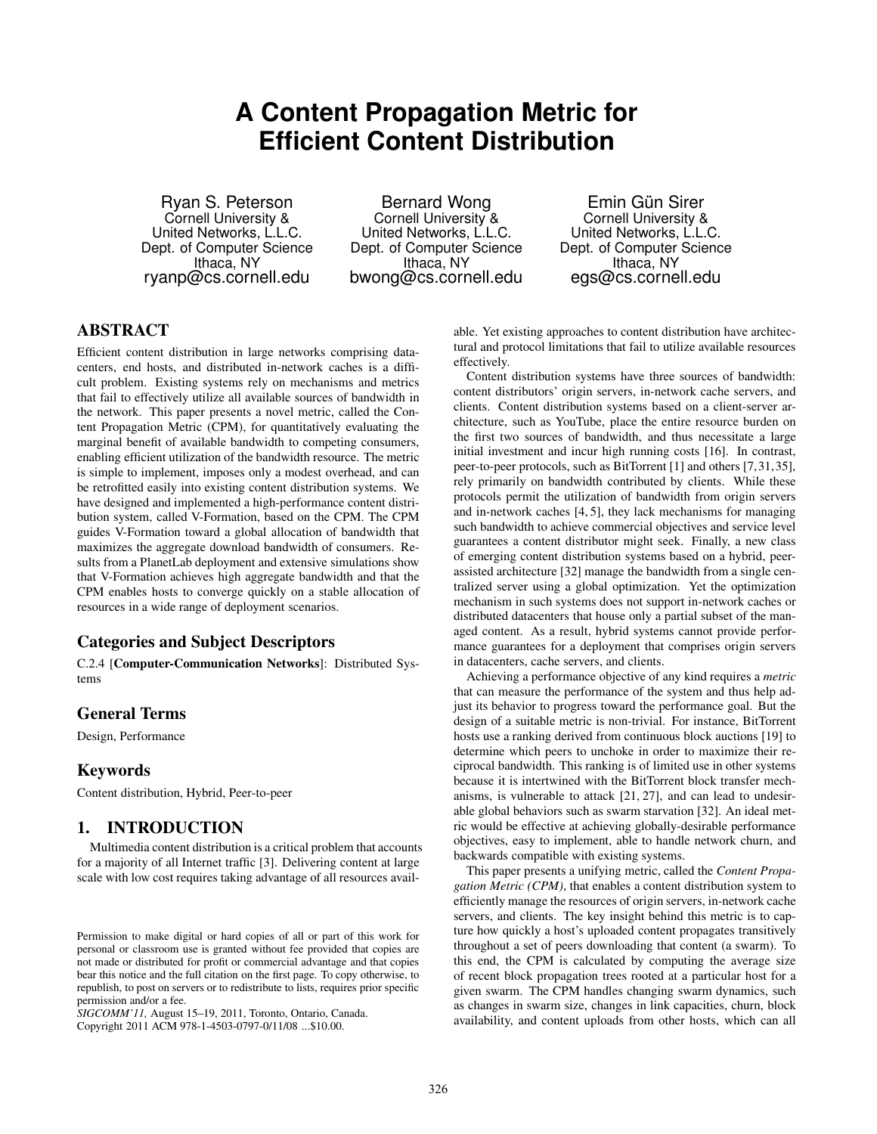# **A Content Propagation Metric for Efficient Content Distribution**

Ryan S. Peterson Cornell University & United Networks, L.L.C. Dept. of Computer Science Ithaca, NY ryanp@cs.cornell.edu

Bernard Wong Cornell University & United Networks, L.L.C. Dept. of Computer Science Ithaca, NY bwong@cs.cornell.edu

Emin Gün Sirer Cornell University & United Networks, L.L.C. Dept. of Computer Science Ithaca, NY egs@cs.cornell.edu

# **ABSTRACT**

Efficient content distribution in large networks comprising datacenters, end hosts, and distributed in-network caches is a difficult problem. Existing systems rely on mechanisms and metrics that fail to effectively utilize all available sources of bandwidth in the network. This paper presents a novel metric, called the Content Propagation Metric (CPM), for quantitatively evaluating the marginal benefit of available bandwidth to competing consumers, enabling efficient utilization of the bandwidth resource. The metric is simple to implement, imposes only a modest overhead, and can be retrofitted easily into existing content distribution systems. We have designed and implemented a high-performance content distribution system, called V-Formation, based on the CPM. The CPM guides V-Formation toward a global allocation of bandwidth that maximizes the aggregate download bandwidth of consumers. Results from a PlanetLab deployment and extensive simulations show that V-Formation achieves high aggregate bandwidth and that the CPM enables hosts to converge quickly on a stable allocation of resources in a wide range of deployment scenarios.

# **Categories and Subject Descriptors**

C.2.4 [**Computer-Communication Networks**]: Distributed Systems

## **General Terms**

Design, Performance

## **Keywords**

Content distribution, Hybrid, Peer-to-peer

# **1. INTRODUCTION**

Multimedia content distribution is a critical problem that accounts for a majority of all Internet traffic [3]. Delivering content at large scale with low cost requires taking advantage of all resources avail-

*SIGCOMM'11,* August 15–19, 2011, Toronto, Ontario, Canada. Copyright 2011 ACM 978-1-4503-0797-0/11/08 ...\$10.00.

able. Yet existing approaches to content distribution have architectural and protocol limitations that fail to utilize available resources effectively.

Content distribution systems have three sources of bandwidth: content distributors' origin servers, in-network cache servers, and clients. Content distribution systems based on a client-server architecture, such as YouTube, place the entire resource burden on the first two sources of bandwidth, and thus necessitate a large initial investment and incur high running costs [16]. In contrast, peer-to-peer protocols, such as BitTorrent [1] and others [7,31,35], rely primarily on bandwidth contributed by clients. While these protocols permit the utilization of bandwidth from origin servers and in-network caches [4, 5], they lack mechanisms for managing such bandwidth to achieve commercial objectives and service level guarantees a content distributor might seek. Finally, a new class of emerging content distribution systems based on a hybrid, peerassisted architecture [32] manage the bandwidth from a single centralized server using a global optimization. Yet the optimization mechanism in such systems does not support in-network caches or distributed datacenters that house only a partial subset of the managed content. As a result, hybrid systems cannot provide performance guarantees for a deployment that comprises origin servers in datacenters, cache servers, and clients.

Achieving a performance objective of any kind requires a *metric* that can measure the performance of the system and thus help adjust its behavior to progress toward the performance goal. But the design of a suitable metric is non-trivial. For instance, BitTorrent hosts use a ranking derived from continuous block auctions [19] to determine which peers to unchoke in order to maximize their reciprocal bandwidth. This ranking is of limited use in other systems because it is intertwined with the BitTorrent block transfer mechanisms, is vulnerable to attack [21, 27], and can lead to undesirable global behaviors such as swarm starvation [32]. An ideal metric would be effective at achieving globally-desirable performance objectives, easy to implement, able to handle network churn, and backwards compatible with existing systems.

This paper presents a unifying metric, called the *Content Propagation Metric (CPM)*, that enables a content distribution system to efficiently manage the resources of origin servers, in-network cache servers, and clients. The key insight behind this metric is to capture how quickly a host's uploaded content propagates transitively throughout a set of peers downloading that content (a swarm). To this end, the CPM is calculated by computing the average size of recent block propagation trees rooted at a particular host for a given swarm. The CPM handles changing swarm dynamics, such as changes in swarm size, changes in link capacities, churn, block availability, and content uploads from other hosts, which can all

Permission to make digital or hard copies of all or part of this work for personal or classroom use is granted without fee provided that copies are not made or distributed for profit or commercial advantage and that copies bear this notice and the full citation on the first page. To copy otherwise, to republish, to post on servers or to redistribute to lists, requires prior specific permission and/or a fee.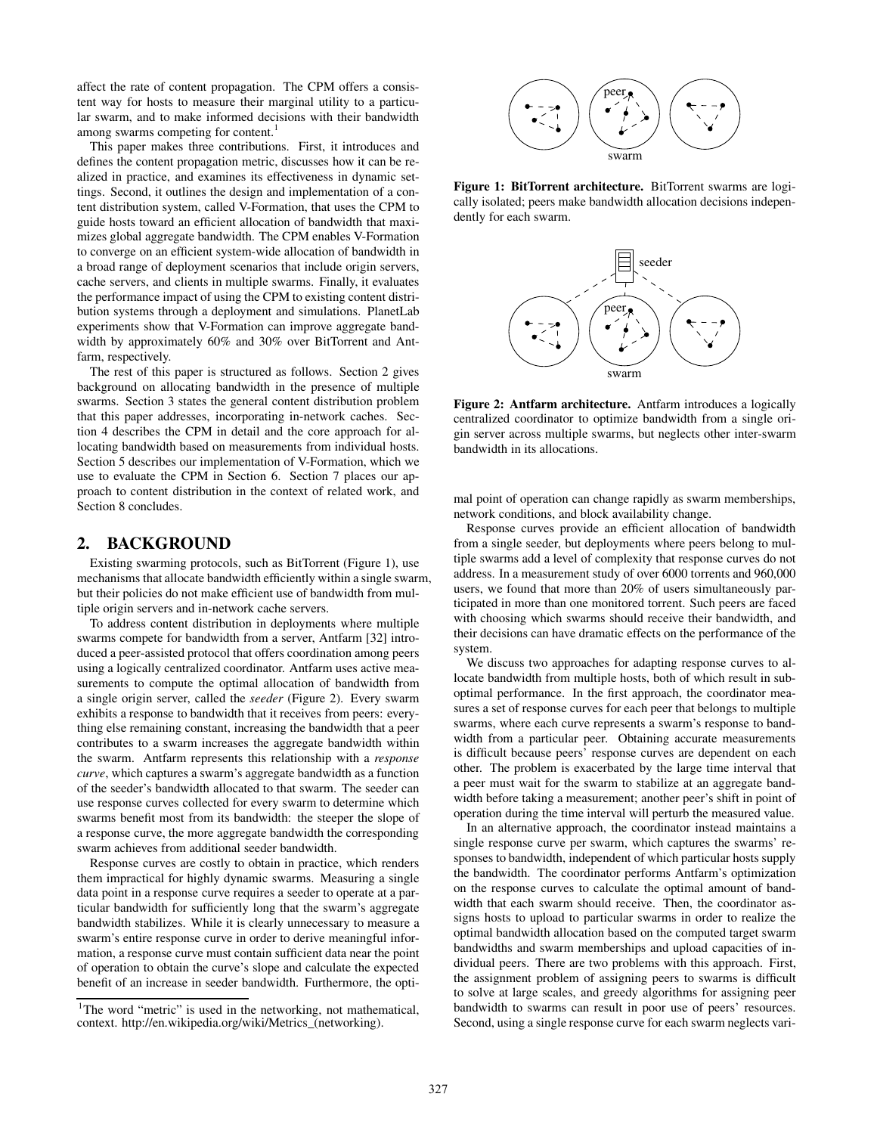affect the rate of content propagation. The CPM offers a consistent way for hosts to measure their marginal utility to a particular swarm, and to make informed decisions with their bandwidth among swarms competing for content.<sup>1</sup>

This paper makes three contributions. First, it introduces and defines the content propagation metric, discusses how it can be realized in practice, and examines its effectiveness in dynamic settings. Second, it outlines the design and implementation of a content distribution system, called V-Formation, that uses the CPM to guide hosts toward an efficient allocation of bandwidth that maximizes global aggregate bandwidth. The CPM enables V-Formation to converge on an efficient system-wide allocation of bandwidth in a broad range of deployment scenarios that include origin servers, cache servers, and clients in multiple swarms. Finally, it evaluates the performance impact of using the CPM to existing content distribution systems through a deployment and simulations. PlanetLab experiments show that V-Formation can improve aggregate bandwidth by approximately 60% and 30% over BitTorrent and Antfarm, respectively.

The rest of this paper is structured as follows. Section 2 gives background on allocating bandwidth in the presence of multiple swarms. Section 3 states the general content distribution problem that this paper addresses, incorporating in-network caches. Section 4 describes the CPM in detail and the core approach for allocating bandwidth based on measurements from individual hosts. Section 5 describes our implementation of V-Formation, which we use to evaluate the CPM in Section 6. Section 7 places our approach to content distribution in the context of related work, and Section 8 concludes.

# **2. BACKGROUND**

Existing swarming protocols, such as BitTorrent (Figure 1), use mechanisms that allocate bandwidth efficiently within a single swarm, but their policies do not make efficient use of bandwidth from multiple origin servers and in-network cache servers.

To address content distribution in deployments where multiple swarms compete for bandwidth from a server, Antfarm [32] introduced a peer-assisted protocol that offers coordination among peers using a logically centralized coordinator. Antfarm uses active measurements to compute the optimal allocation of bandwidth from a single origin server, called the *seeder* (Figure 2). Every swarm exhibits a response to bandwidth that it receives from peers: everything else remaining constant, increasing the bandwidth that a peer contributes to a swarm increases the aggregate bandwidth within the swarm. Antfarm represents this relationship with a *response curve*, which captures a swarm's aggregate bandwidth as a function of the seeder's bandwidth allocated to that swarm. The seeder can use response curves collected for every swarm to determine which swarms benefit most from its bandwidth: the steeper the slope of a response curve, the more aggregate bandwidth the corresponding swarm achieves from additional seeder bandwidth.

Response curves are costly to obtain in practice, which renders them impractical for highly dynamic swarms. Measuring a single data point in a response curve requires a seeder to operate at a particular bandwidth for sufficiently long that the swarm's aggregate bandwidth stabilizes. While it is clearly unnecessary to measure a swarm's entire response curve in order to derive meaningful information, a response curve must contain sufficient data near the point of operation to obtain the curve's slope and calculate the expected benefit of an increase in seeder bandwidth. Furthermore, the opti-



**Figure 1: BitTorrent architecture.** BitTorrent swarms are logically isolated; peers make bandwidth allocation decisions independently for each swarm.



**Figure 2: Antfarm architecture.** Antfarm introduces a logically centralized coordinator to optimize bandwidth from a single origin server across multiple swarms, but neglects other inter-swarm bandwidth in its allocations.

mal point of operation can change rapidly as swarm memberships, network conditions, and block availability change.

Response curves provide an efficient allocation of bandwidth from a single seeder, but deployments where peers belong to multiple swarms add a level of complexity that response curves do not address. In a measurement study of over 6000 torrents and 960,000 users, we found that more than 20% of users simultaneously participated in more than one monitored torrent. Such peers are faced with choosing which swarms should receive their bandwidth, and their decisions can have dramatic effects on the performance of the system.

We discuss two approaches for adapting response curves to allocate bandwidth from multiple hosts, both of which result in suboptimal performance. In the first approach, the coordinator measures a set of response curves for each peer that belongs to multiple swarms, where each curve represents a swarm's response to bandwidth from a particular peer. Obtaining accurate measurements is difficult because peers' response curves are dependent on each other. The problem is exacerbated by the large time interval that a peer must wait for the swarm to stabilize at an aggregate bandwidth before taking a measurement; another peer's shift in point of operation during the time interval will perturb the measured value.

In an alternative approach, the coordinator instead maintains a single response curve per swarm, which captures the swarms' responses to bandwidth, independent of which particular hosts supply the bandwidth. The coordinator performs Antfarm's optimization on the response curves to calculate the optimal amount of bandwidth that each swarm should receive. Then, the coordinator assigns hosts to upload to particular swarms in order to realize the optimal bandwidth allocation based on the computed target swarm bandwidths and swarm memberships and upload capacities of individual peers. There are two problems with this approach. First, the assignment problem of assigning peers to swarms is difficult to solve at large scales, and greedy algorithms for assigning peer bandwidth to swarms can result in poor use of peers' resources. Second, using a single response curve for each swarm neglects vari-

<sup>&</sup>lt;sup>1</sup>The word "metric" is used in the networking, not mathematical, context. http://en.wikipedia.org/wiki/Metrics\_(networking).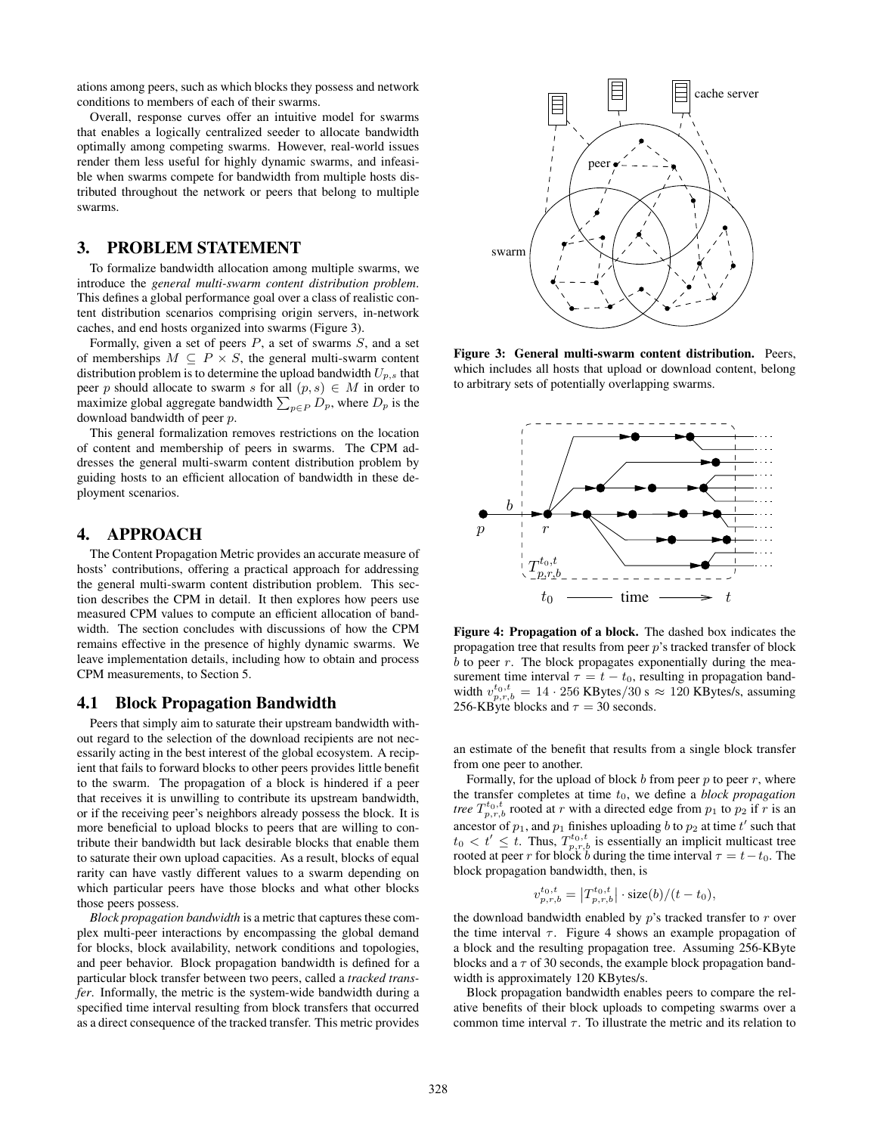ations among peers, such as which blocks they possess and network conditions to members of each of their swarms.

Overall, response curves offer an intuitive model for swarms that enables a logically centralized seeder to allocate bandwidth optimally among competing swarms. However, real-world issues render them less useful for highly dynamic swarms, and infeasible when swarms compete for bandwidth from multiple hosts distributed throughout the network or peers that belong to multiple swarms.

#### **3. PROBLEM STATEMENT**

To formalize bandwidth allocation among multiple swarms, we introduce the *general multi-swarm content distribution problem*. This defines a global performance goal over a class of realistic content distribution scenarios comprising origin servers, in-network caches, and end hosts organized into swarms (Figure 3).

Formally, given a set of peers  $P$ , a set of swarms  $S$ , and a set of memberships  $M \subseteq P \times S$ , the general multi-swarm content distribution problem is to determine the upload bandwidth  $U_{p,s}$  that peer p should allocate to swarm s for all  $(p, s) \in M$  in order to maximize global aggregate bandwidth  $\sum_{p \in P} D_p$ , where  $D_p$  is the download bandwidth of peer p.

This general formalization removes restrictions on the location of content and membership of peers in swarms. The CPM addresses the general multi-swarm content distribution problem by guiding hosts to an efficient allocation of bandwidth in these deployment scenarios.

## **4. APPROACH**

The Content Propagation Metric provides an accurate measure of hosts' contributions, offering a practical approach for addressing the general multi-swarm content distribution problem. This section describes the CPM in detail. It then explores how peers use measured CPM values to compute an efficient allocation of bandwidth. The section concludes with discussions of how the CPM remains effective in the presence of highly dynamic swarms. We leave implementation details, including how to obtain and process CPM measurements, to Section 5.

# **4.1 Block Propagation Bandwidth**

Peers that simply aim to saturate their upstream bandwidth without regard to the selection of the download recipients are not necessarily acting in the best interest of the global ecosystem. A recipient that fails to forward blocks to other peers provides little benefit to the swarm. The propagation of a block is hindered if a peer that receives it is unwilling to contribute its upstream bandwidth, or if the receiving peer's neighbors already possess the block. It is more beneficial to upload blocks to peers that are willing to contribute their bandwidth but lack desirable blocks that enable them to saturate their own upload capacities. As a result, blocks of equal rarity can have vastly different values to a swarm depending on which particular peers have those blocks and what other blocks those peers possess.

*Block propagation bandwidth* is a metric that captures these complex multi-peer interactions by encompassing the global demand for blocks, block availability, network conditions and topologies, and peer behavior. Block propagation bandwidth is defined for a particular block transfer between two peers, called a *tracked transfer*. Informally, the metric is the system-wide bandwidth during a specified time interval resulting from block transfers that occurred as a direct consequence of the tracked transfer. This metric provides



**Figure 3: General multi-swarm content distribution.** Peers, which includes all hosts that upload or download content, belong to arbitrary sets of potentially overlapping swarms.



**Figure 4: Propagation of a block.** The dashed box indicates the propagation tree that results from peer  $p$ 's tracked transfer of block  $b$  to peer  $r$ . The block propagates exponentially during the measurement time interval  $\tau = t - t_0$ , resulting in propagation bandwidth  $v_{p,r,b}^{t_0,t} = 14 \cdot 256$  KBytes/30 s  $\approx 120$  KBytes/s, assuming 256-KByte blocks and  $\tau = 30$  seconds.

an estimate of the benefit that results from a single block transfer from one peer to another.

Formally, for the upload of block  $b$  from peer  $p$  to peer  $r$ , where the transfer completes at time  $t_0$ , we define a *block propagation tree*  $T_{p,r,b}^{t_0,t}$  rooted at r with a directed edge from  $p_1$  to  $p_2$  if r is an ancestor of  $p_1$ , and  $p_1$  finishes uploading b to  $p_2$  at time t' such that  $t_0 < t' \leq t$ . Thus,  $T_{p,r,b}^{t_0,t}$  is essentially an implicit multicast tree rooted at peer r for block b during the time interval  $\tau = t - t_0$ . The block propagation bandwidth, then, is

$$
v_{p,r,b}^{t_0,t} = \left| T_{p,r,b}^{t_0,t} \right| \cdot \text{size}(b)/(t-t_0),
$$

the download bandwidth enabled by  $p$ 's tracked transfer to  $r$  over the time interval  $\tau$ . Figure 4 shows an example propagation of a block and the resulting propagation tree. Assuming 256-KByte blocks and a  $\tau$  of 30 seconds, the example block propagation bandwidth is approximately 120 KBytes/s.

Block propagation bandwidth enables peers to compare the relative benefits of their block uploads to competing swarms over a common time interval  $\tau$ . To illustrate the metric and its relation to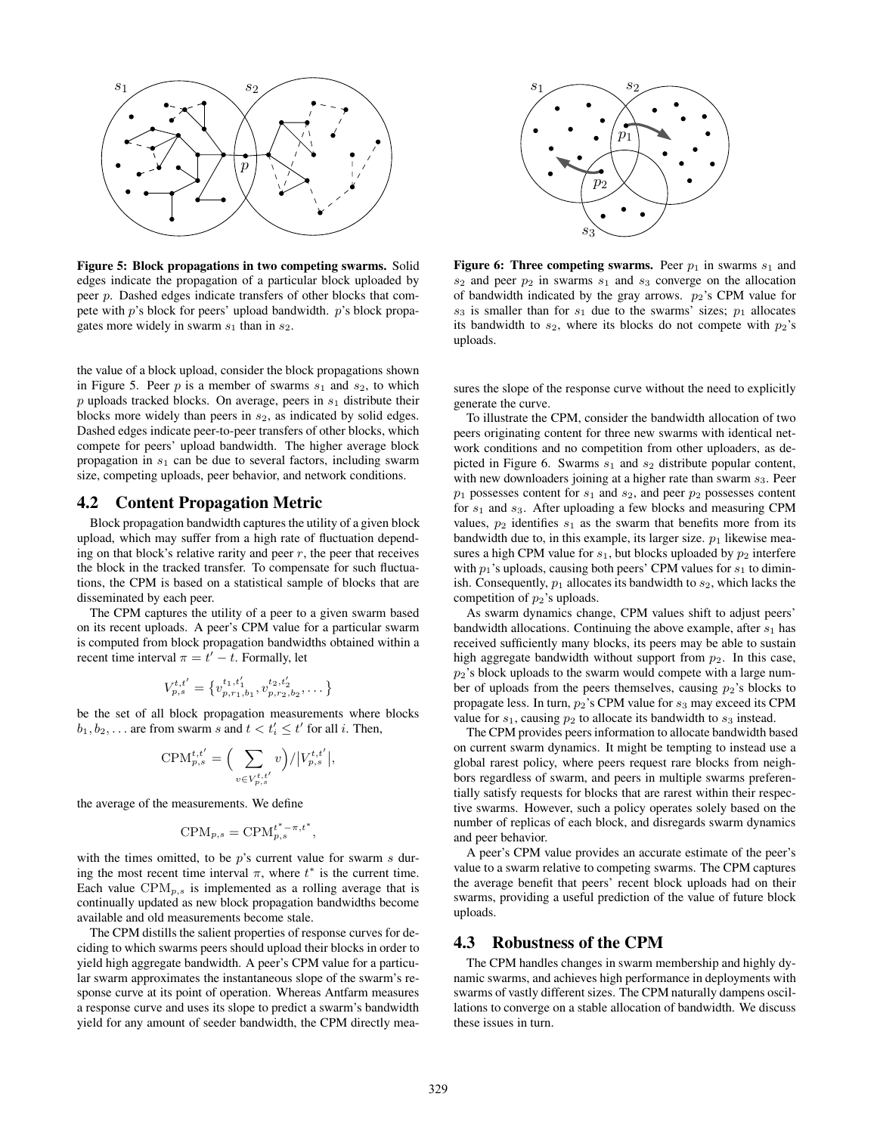

**Figure 5: Block propagations in two competing swarms.** Solid edges indicate the propagation of a particular block uploaded by peer p. Dashed edges indicate transfers of other blocks that compete with p's block for peers' upload bandwidth. p's block propagates more widely in swarm  $s_1$  than in  $s_2$ .

the value of a block upload, consider the block propagations shown in Figure 5. Peer p is a member of swarms  $s_1$  and  $s_2$ , to which  $p$  uploads tracked blocks. On average, peers in  $s<sub>1</sub>$  distribute their blocks more widely than peers in  $s_2$ , as indicated by solid edges. Dashed edges indicate peer-to-peer transfers of other blocks, which compete for peers' upload bandwidth. The higher average block propagation in  $s_1$  can be due to several factors, including swarm size, competing uploads, peer behavior, and network conditions.

#### **4.2 Content Propagation Metric**

Block propagation bandwidth captures the utility of a given block upload, which may suffer from a high rate of fluctuation depending on that block's relative rarity and peer  $r$ , the peer that receives the block in the tracked transfer. To compensate for such fluctuations, the CPM is based on a statistical sample of blocks that are disseminated by each peer.

The CPM captures the utility of a peer to a given swarm based on its recent uploads. A peer's CPM value for a particular swarm is computed from block propagation bandwidths obtained within a recent time interval  $\pi = t' - t$ . Formally, let

$$
V_{p,s}^{t,t'} = \left\{ v_{p,r_1,b_1}^{t_1,t'_1}, v_{p,r_2,b_2}^{t_2,t'_2}, \dots \right\}
$$

be the set of all block propagation measurements where blocks  $b_1, b_2, \ldots$  are from swarm s and  $t < t'_i \leq t'$  for all i. Then,

$$
\text{CPM}_{p,s}^{t,t'} = \Big(\sum_{v\in V_{p,s}^{t,t'}} v\Big) / \big|V_{p,s}^{t,t'}\big|,
$$

the average of the measurements. We define

$$
\text{CPM}_{p,s} = \text{CPM}_{p,s}^{t^* - \pi, t^*},
$$

with the times omitted, to be  $p$ 's current value for swarm  $s$  during the most recent time interval  $\pi$ , where  $t^*$  is the current time. Each value  $CPM_{p,s}$  is implemented as a rolling average that is continually updated as new block propagation bandwidths become available and old measurements become stale.

The CPM distills the salient properties of response curves for deciding to which swarms peers should upload their blocks in order to yield high aggregate bandwidth. A peer's CPM value for a particular swarm approximates the instantaneous slope of the swarm's response curve at its point of operation. Whereas Antfarm measures a response curve and uses its slope to predict a swarm's bandwidth yield for any amount of seeder bandwidth, the CPM directly mea-



**Figure 6: Three competing swarms.** Peer  $p_1$  in swarms  $s_1$  and  $s_2$  and peer  $p_2$  in swarms  $s_1$  and  $s_3$  converge on the allocation of bandwidth indicated by the gray arrows.  $p_2$ 's CPM value for  $s_3$  is smaller than for  $s_1$  due to the swarms' sizes;  $p_1$  allocates its bandwidth to  $s_2$ , where its blocks do not compete with  $p_2$ 's uploads.

sures the slope of the response curve without the need to explicitly generate the curve.

To illustrate the CPM, consider the bandwidth allocation of two peers originating content for three new swarms with identical network conditions and no competition from other uploaders, as depicted in Figure 6. Swarms  $s_1$  and  $s_2$  distribute popular content, with new downloaders joining at a higher rate than swarm  $s<sub>3</sub>$ . Peer  $p_1$  possesses content for  $s_1$  and  $s_2$ , and peer  $p_2$  possesses content for  $s_1$  and  $s_3$ . After uploading a few blocks and measuring CPM values,  $p_2$  identifies  $s_1$  as the swarm that benefits more from its bandwidth due to, in this example, its larger size.  $p_1$  likewise measures a high CPM value for  $s_1$ , but blocks uploaded by  $p_2$  interfere with  $p_1$ 's uploads, causing both peers' CPM values for  $s_1$  to diminish. Consequently,  $p_1$  allocates its bandwidth to  $s_2$ , which lacks the competition of  $p_2$ 's uploads.

As swarm dynamics change, CPM values shift to adjust peers' bandwidth allocations. Continuing the above example, after  $s_1$  has received sufficiently many blocks, its peers may be able to sustain high aggregate bandwidth without support from  $p_2$ . In this case,  $p_2$ 's block uploads to the swarm would compete with a large number of uploads from the peers themselves, causing  $p_2$ 's blocks to propagate less. In turn,  $p_2$ 's CPM value for  $s_3$  may exceed its CPM value for  $s_1$ , causing  $p_2$  to allocate its bandwidth to  $s_3$  instead.

The CPM provides peers information to allocate bandwidth based on current swarm dynamics. It might be tempting to instead use a global rarest policy, where peers request rare blocks from neighbors regardless of swarm, and peers in multiple swarms preferentially satisfy requests for blocks that are rarest within their respective swarms. However, such a policy operates solely based on the number of replicas of each block, and disregards swarm dynamics and peer behavior.

A peer's CPM value provides an accurate estimate of the peer's value to a swarm relative to competing swarms. The CPM captures the average benefit that peers' recent block uploads had on their swarms, providing a useful prediction of the value of future block uploads.

#### **4.3 Robustness of the CPM**

The CPM handles changes in swarm membership and highly dynamic swarms, and achieves high performance in deployments with swarms of vastly different sizes. The CPM naturally dampens oscillations to converge on a stable allocation of bandwidth. We discuss these issues in turn.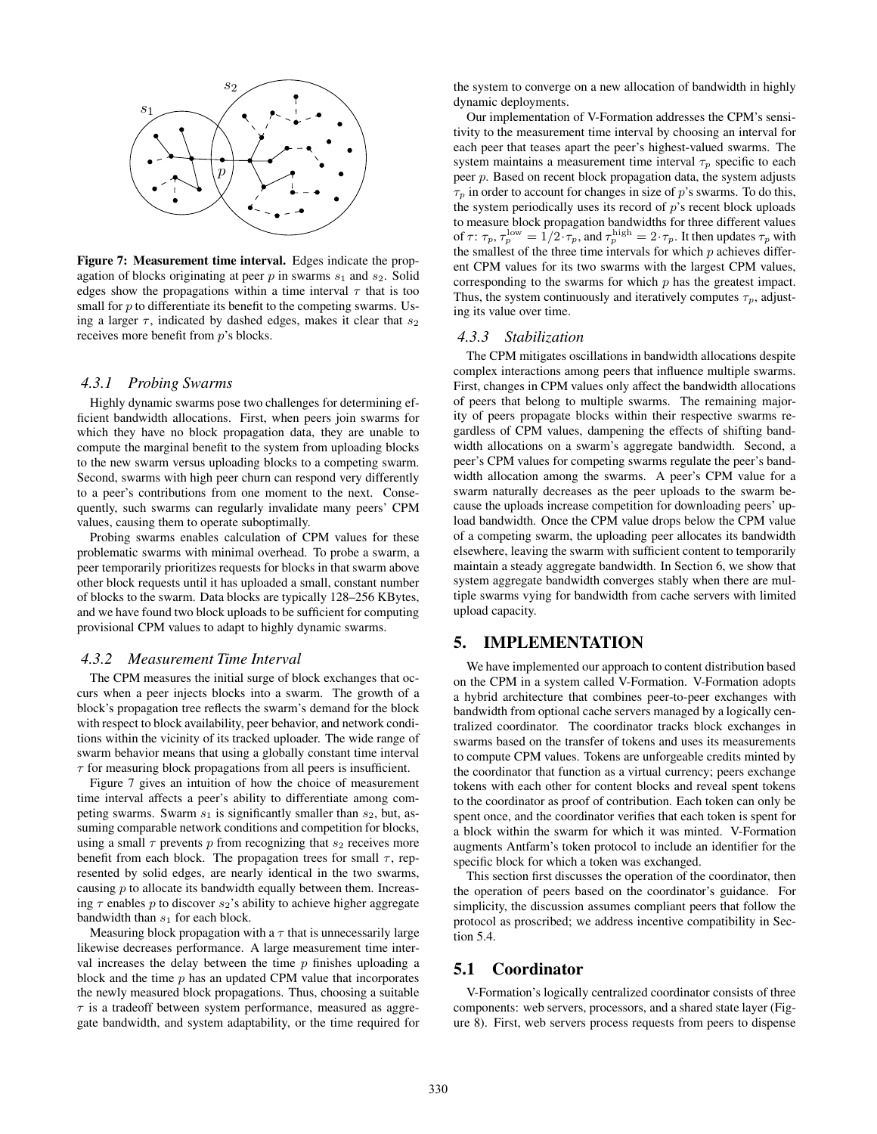

**Figure 7: Measurement time interval.** Edges indicate the propagation of blocks originating at peer  $p$  in swarms  $s_1$  and  $s_2$ . Solid edges show the propagations within a time interval  $\tau$  that is too small for  $p$  to differentiate its benefit to the competing swarms. Using a larger  $\tau$ , indicated by dashed edges, makes it clear that  $s_2$ receives more benefit from p's blocks.

#### *4.3.1 Probing Swarms*

Highly dynamic swarms pose two challenges for determining efficient bandwidth allocations. First, when peers join swarms for which they have no block propagation data, they are unable to compute the marginal benefit to the system from uploading blocks to the new swarm versus uploading blocks to a competing swarm. Second, swarms with high peer churn can respond very differently to a peer's contributions from one moment to the next. Consequently, such swarms can regularly invalidate many peers' CPM values, causing them to operate suboptimally.

Probing swarms enables calculation of CPM values for these problematic swarms with minimal overhead. To probe a swarm, a peer temporarily prioritizes requests for blocks in that swarm above other block requests until it has uploaded a small, constant number of blocks to the swarm. Data blocks are typically 128–256 KBytes, and we have found two block uploads to be sufficient for computing provisional CPM values to adapt to highly dynamic swarms.

#### *4.3.2 Measurement Time Interval*

The CPM measures the initial surge of block exchanges that occurs when a peer injects blocks into a swarm. The growth of a block's propagation tree reflects the swarm's demand for the block with respect to block availability, peer behavior, and network conditions within the vicinity of its tracked uploader. The wide range of swarm behavior means that using a globally constant time interval  $\tau$  for measuring block propagations from all peers is insufficient.

Figure 7 gives an intuition of how the choice of measurement time interval affects a peer's ability to differentiate among competing swarms. Swarm  $s_1$  is significantly smaller than  $s_2$ , but, assuming comparable network conditions and competition for blocks, using a small  $\tau$  prevents p from recognizing that  $s_2$  receives more benefit from each block. The propagation trees for small  $\tau$ , represented by solid edges, are nearly identical in the two swarms, causing  $p$  to allocate its bandwidth equally between them. Increasing  $\tau$  enables p to discover  $s_2$ 's ability to achieve higher aggregate bandwidth than  $s_1$  for each block.

Measuring block propagation with a  $\tau$  that is unnecessarily large likewise decreases performance. A large measurement time interval increases the delay between the time  $p$  finishes uploading a block and the time  $p$  has an updated CPM value that incorporates the newly measured block propagations. Thus, choosing a suitable  $\tau$  is a tradeoff between system performance, measured as aggregate bandwidth, and system adaptability, or the time required for the system to converge on a new allocation of bandwidth in highly dynamic deployments.

Our implementation of V-Formation addresses the CPM's sensitivity to the measurement time interval by choosing an interval for each peer that teases apart the peer's highest-valued swarms. The system maintains a measurement time interval  $\tau_p$  specific to each peer p. Based on recent block propagation data, the system adjusts  $\tau_p$  in order to account for changes in size of p's swarms. To do this, the system periodically uses its record of  $p$ 's recent block uploads to measure block propagation bandwidths for three different values of  $\tau$ :  $\tau_p$ ,  $\tau_p^{\text{low}} = 1/2 \cdot \tau_p$ , and  $\tau_p^{\text{high}} = 2 \cdot \tau_p$ . It then updates  $\tau_p$  with the smallest of the three time intervals for which  $p$  achieves different CPM values for its two swarms with the largest CPM values, corresponding to the swarms for which  $p$  has the greatest impact. Thus, the system continuously and iteratively computes  $\tau_p$ , adjusting its value over time.

#### *4.3.3 Stabilization*

The CPM mitigates oscillations in bandwidth allocations despite complex interactions among peers that influence multiple swarms. First, changes in CPM values only affect the bandwidth allocations of peers that belong to multiple swarms. The remaining majority of peers propagate blocks within their respective swarms regardless of CPM values, dampening the effects of shifting bandwidth allocations on a swarm's aggregate bandwidth. Second, a peer's CPM values for competing swarms regulate the peer's bandwidth allocation among the swarms. A peer's CPM value for a swarm naturally decreases as the peer uploads to the swarm because the uploads increase competition for downloading peers' upload bandwidth. Once the CPM value drops below the CPM value of a competing swarm, the uploading peer allocates its bandwidth elsewhere, leaving the swarm with sufficient content to temporarily maintain a steady aggregate bandwidth. In Section 6, we show that system aggregate bandwidth converges stably when there are multiple swarms vying for bandwidth from cache servers with limited upload capacity.

### **5. IMPLEMENTATION**

We have implemented our approach to content distribution based on the CPM in a system called V-Formation. V-Formation adopts a hybrid architecture that combines peer-to-peer exchanges with bandwidth from optional cache servers managed by a logically centralized coordinator. The coordinator tracks block exchanges in swarms based on the transfer of tokens and uses its measurements to compute CPM values. Tokens are unforgeable credits minted by the coordinator that function as a virtual currency; peers exchange tokens with each other for content blocks and reveal spent tokens to the coordinator as proof of contribution. Each token can only be spent once, and the coordinator verifies that each token is spent for a block within the swarm for which it was minted. V-Formation augments Antfarm's token protocol to include an identifier for the specific block for which a token was exchanged.

This section first discusses the operation of the coordinator, then the operation of peers based on the coordinator's guidance. For simplicity, the discussion assumes compliant peers that follow the protocol as proscribed; we address incentive compatibility in Section 5.4.

## **5.1 Coordinator**

V-Formation's logically centralized coordinator consists of three components: web servers, processors, and a shared state layer (Figure 8). First, web servers process requests from peers to dispense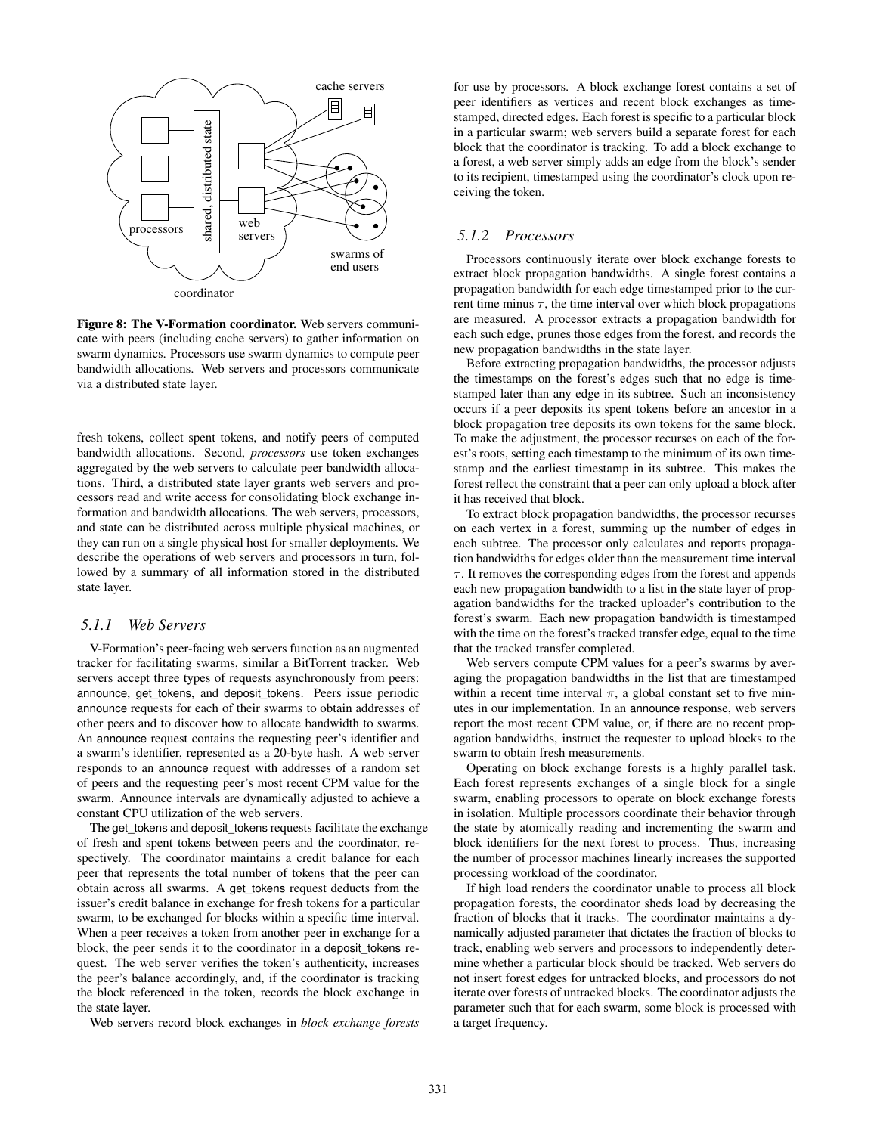

**Figure 8: The V-Formation coordinator.** Web servers communicate with peers (including cache servers) to gather information on swarm dynamics. Processors use swarm dynamics to compute peer bandwidth allocations. Web servers and processors communicate via a distributed state layer.

fresh tokens, collect spent tokens, and notify peers of computed bandwidth allocations. Second, *processors* use token exchanges aggregated by the web servers to calculate peer bandwidth allocations. Third, a distributed state layer grants web servers and processors read and write access for consolidating block exchange information and bandwidth allocations. The web servers, processors, and state can be distributed across multiple physical machines, or they can run on a single physical host for smaller deployments. We describe the operations of web servers and processors in turn, followed by a summary of all information stored in the distributed state layer.

#### *5.1.1 Web Servers*

V-Formation's peer-facing web servers function as an augmented tracker for facilitating swarms, similar a BitTorrent tracker. Web servers accept three types of requests asynchronously from peers: announce, get\_tokens, and deposit\_tokens. Peers issue periodic announce requests for each of their swarms to obtain addresses of other peers and to discover how to allocate bandwidth to swarms. An announce request contains the requesting peer's identifier and a swarm's identifier, represented as a 20-byte hash. A web server responds to an announce request with addresses of a random set of peers and the requesting peer's most recent CPM value for the swarm. Announce intervals are dynamically adjusted to achieve a constant CPU utilization of the web servers.

The get tokens and deposit tokens requests facilitate the exchange of fresh and spent tokens between peers and the coordinator, respectively. The coordinator maintains a credit balance for each peer that represents the total number of tokens that the peer can obtain across all swarms. A get\_tokens request deducts from the issuer's credit balance in exchange for fresh tokens for a particular swarm, to be exchanged for blocks within a specific time interval. When a peer receives a token from another peer in exchange for a block, the peer sends it to the coordinator in a deposit\_tokens request. The web server verifies the token's authenticity, increases the peer's balance accordingly, and, if the coordinator is tracking the block referenced in the token, records the block exchange in the state layer.

Web servers record block exchanges in *block exchange forests*

for use by processors. A block exchange forest contains a set of peer identifiers as vertices and recent block exchanges as timestamped, directed edges. Each forest is specific to a particular block in a particular swarm; web servers build a separate forest for each block that the coordinator is tracking. To add a block exchange to a forest, a web server simply adds an edge from the block's sender to its recipient, timestamped using the coordinator's clock upon receiving the token.

### *5.1.2 Processors*

Processors continuously iterate over block exchange forests to extract block propagation bandwidths. A single forest contains a propagation bandwidth for each edge timestamped prior to the current time minus  $\tau$ , the time interval over which block propagations are measured. A processor extracts a propagation bandwidth for each such edge, prunes those edges from the forest, and records the new propagation bandwidths in the state layer.

Before extracting propagation bandwidths, the processor adjusts the timestamps on the forest's edges such that no edge is timestamped later than any edge in its subtree. Such an inconsistency occurs if a peer deposits its spent tokens before an ancestor in a block propagation tree deposits its own tokens for the same block. To make the adjustment, the processor recurses on each of the forest's roots, setting each timestamp to the minimum of its own timestamp and the earliest timestamp in its subtree. This makes the forest reflect the constraint that a peer can only upload a block after it has received that block.

To extract block propagation bandwidths, the processor recurses on each vertex in a forest, summing up the number of edges in each subtree. The processor only calculates and reports propagation bandwidths for edges older than the measurement time interval  $\tau$ . It removes the corresponding edges from the forest and appends each new propagation bandwidth to a list in the state layer of propagation bandwidths for the tracked uploader's contribution to the forest's swarm. Each new propagation bandwidth is timestamped with the time on the forest's tracked transfer edge, equal to the time that the tracked transfer completed.

Web servers compute CPM values for a peer's swarms by averaging the propagation bandwidths in the list that are timestamped within a recent time interval  $\pi$ , a global constant set to five minutes in our implementation. In an announce response, web servers report the most recent CPM value, or, if there are no recent propagation bandwidths, instruct the requester to upload blocks to the swarm to obtain fresh measurements.

Operating on block exchange forests is a highly parallel task. Each forest represents exchanges of a single block for a single swarm, enabling processors to operate on block exchange forests in isolation. Multiple processors coordinate their behavior through the state by atomically reading and incrementing the swarm and block identifiers for the next forest to process. Thus, increasing the number of processor machines linearly increases the supported processing workload of the coordinator.

If high load renders the coordinator unable to process all block propagation forests, the coordinator sheds load by decreasing the fraction of blocks that it tracks. The coordinator maintains a dynamically adjusted parameter that dictates the fraction of blocks to track, enabling web servers and processors to independently determine whether a particular block should be tracked. Web servers do not insert forest edges for untracked blocks, and processors do not iterate over forests of untracked blocks. The coordinator adjusts the parameter such that for each swarm, some block is processed with a target frequency.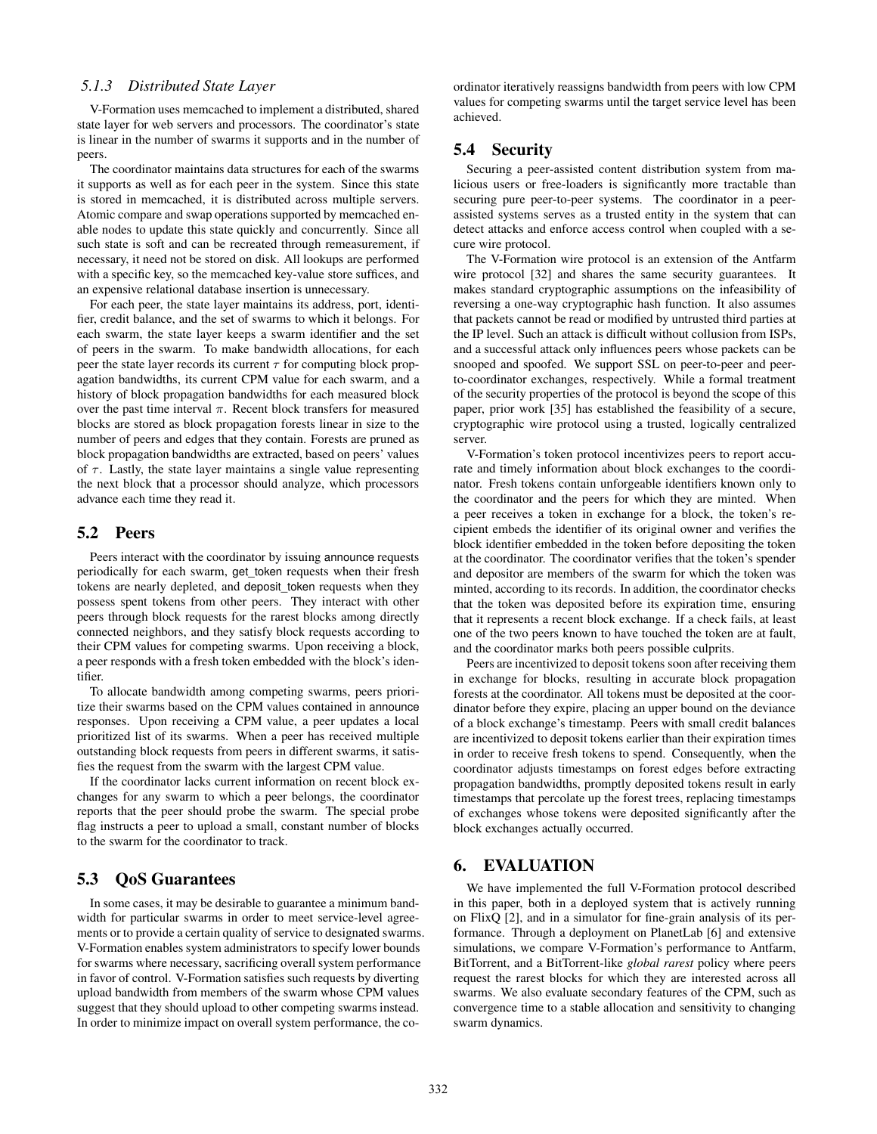#### *5.1.3 Distributed State Layer*

V-Formation uses memcached to implement a distributed, shared state layer for web servers and processors. The coordinator's state is linear in the number of swarms it supports and in the number of peers.

The coordinator maintains data structures for each of the swarms it supports as well as for each peer in the system. Since this state is stored in memcached, it is distributed across multiple servers. Atomic compare and swap operations supported by memcached enable nodes to update this state quickly and concurrently. Since all such state is soft and can be recreated through remeasurement, if necessary, it need not be stored on disk. All lookups are performed with a specific key, so the memcached key-value store suffices, and an expensive relational database insertion is unnecessary.

For each peer, the state layer maintains its address, port, identifier, credit balance, and the set of swarms to which it belongs. For each swarm, the state layer keeps a swarm identifier and the set of peers in the swarm. To make bandwidth allocations, for each peer the state layer records its current  $\tau$  for computing block propagation bandwidths, its current CPM value for each swarm, and a history of block propagation bandwidths for each measured block over the past time interval  $\pi$ . Recent block transfers for measured blocks are stored as block propagation forests linear in size to the number of peers and edges that they contain. Forests are pruned as block propagation bandwidths are extracted, based on peers' values of  $\tau$ . Lastly, the state layer maintains a single value representing the next block that a processor should analyze, which processors advance each time they read it.

#### **5.2 Peers**

Peers interact with the coordinator by issuing announce requests periodically for each swarm, get\_token requests when their fresh tokens are nearly depleted, and deposit token requests when they possess spent tokens from other peers. They interact with other peers through block requests for the rarest blocks among directly connected neighbors, and they satisfy block requests according to their CPM values for competing swarms. Upon receiving a block, a peer responds with a fresh token embedded with the block's identifier.

To allocate bandwidth among competing swarms, peers prioritize their swarms based on the CPM values contained in announce responses. Upon receiving a CPM value, a peer updates a local prioritized list of its swarms. When a peer has received multiple outstanding block requests from peers in different swarms, it satisfies the request from the swarm with the largest CPM value.

If the coordinator lacks current information on recent block exchanges for any swarm to which a peer belongs, the coordinator reports that the peer should probe the swarm. The special probe flag instructs a peer to upload a small, constant number of blocks to the swarm for the coordinator to track.

#### **5.3 QoS Guarantees**

In some cases, it may be desirable to guarantee a minimum bandwidth for particular swarms in order to meet service-level agreements or to provide a certain quality of service to designated swarms. V-Formation enables system administrators to specify lower bounds for swarms where necessary, sacrificing overall system performance in favor of control. V-Formation satisfies such requests by diverting upload bandwidth from members of the swarm whose CPM values suggest that they should upload to other competing swarms instead. In order to minimize impact on overall system performance, the coordinator iteratively reassigns bandwidth from peers with low CPM values for competing swarms until the target service level has been achieved.

## **5.4 Security**

Securing a peer-assisted content distribution system from malicious users or free-loaders is significantly more tractable than securing pure peer-to-peer systems. The coordinator in a peerassisted systems serves as a trusted entity in the system that can detect attacks and enforce access control when coupled with a secure wire protocol.

The V-Formation wire protocol is an extension of the Antfarm wire protocol [32] and shares the same security guarantees. It makes standard cryptographic assumptions on the infeasibility of reversing a one-way cryptographic hash function. It also assumes that packets cannot be read or modified by untrusted third parties at the IP level. Such an attack is difficult without collusion from ISPs, and a successful attack only influences peers whose packets can be snooped and spoofed. We support SSL on peer-to-peer and peerto-coordinator exchanges, respectively. While a formal treatment of the security properties of the protocol is beyond the scope of this paper, prior work [35] has established the feasibility of a secure, cryptographic wire protocol using a trusted, logically centralized server.

V-Formation's token protocol incentivizes peers to report accurate and timely information about block exchanges to the coordinator. Fresh tokens contain unforgeable identifiers known only to the coordinator and the peers for which they are minted. When a peer receives a token in exchange for a block, the token's recipient embeds the identifier of its original owner and verifies the block identifier embedded in the token before depositing the token at the coordinator. The coordinator verifies that the token's spender and depositor are members of the swarm for which the token was minted, according to its records. In addition, the coordinator checks that the token was deposited before its expiration time, ensuring that it represents a recent block exchange. If a check fails, at least one of the two peers known to have touched the token are at fault, and the coordinator marks both peers possible culprits.

Peers are incentivized to deposit tokens soon after receiving them in exchange for blocks, resulting in accurate block propagation forests at the coordinator. All tokens must be deposited at the coordinator before they expire, placing an upper bound on the deviance of a block exchange's timestamp. Peers with small credit balances are incentivized to deposit tokens earlier than their expiration times in order to receive fresh tokens to spend. Consequently, when the coordinator adjusts timestamps on forest edges before extracting propagation bandwidths, promptly deposited tokens result in early timestamps that percolate up the forest trees, replacing timestamps of exchanges whose tokens were deposited significantly after the block exchanges actually occurred.

# **6. EVALUATION**

We have implemented the full V-Formation protocol described in this paper, both in a deployed system that is actively running on FlixQ [2], and in a simulator for fine-grain analysis of its performance. Through a deployment on PlanetLab [6] and extensive simulations, we compare V-Formation's performance to Antfarm, BitTorrent, and a BitTorrent-like *global rarest* policy where peers request the rarest blocks for which they are interested across all swarms. We also evaluate secondary features of the CPM, such as convergence time to a stable allocation and sensitivity to changing swarm dynamics.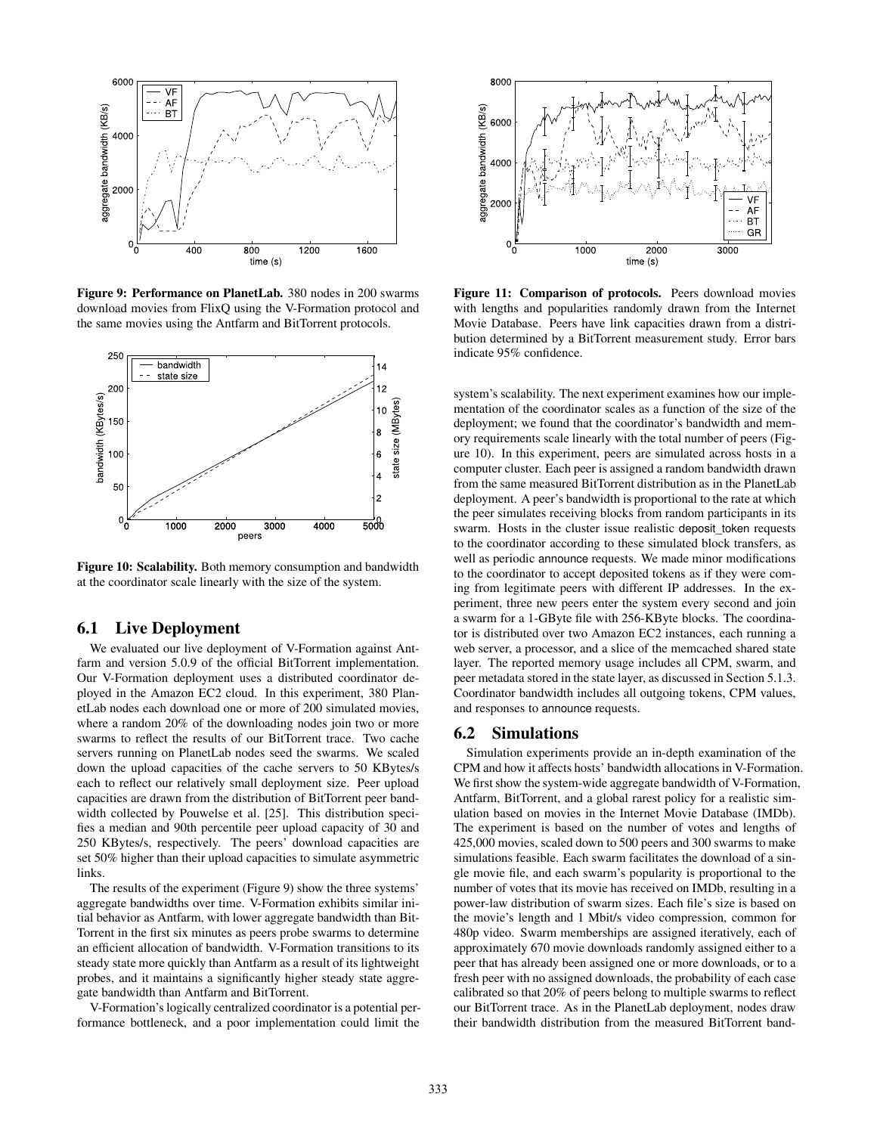

**Figure 9: Performance on PlanetLab.** 380 nodes in 200 swarms download movies from FlixQ using the V-Formation protocol and the same movies using the Antfarm and BitTorrent protocols.



**Figure 10: Scalability.** Both memory consumption and bandwidth at the coordinator scale linearly with the size of the system.

#### **6.1 Live Deployment**

We evaluated our live deployment of V-Formation against Antfarm and version 5.0.9 of the official BitTorrent implementation. Our V-Formation deployment uses a distributed coordinator deployed in the Amazon EC2 cloud. In this experiment, 380 PlanetLab nodes each download one or more of 200 simulated movies, where a random 20% of the downloading nodes join two or more swarms to reflect the results of our BitTorrent trace. Two cache servers running on PlanetLab nodes seed the swarms. We scaled down the upload capacities of the cache servers to 50 KBytes/s each to reflect our relatively small deployment size. Peer upload capacities are drawn from the distribution of BitTorrent peer bandwidth collected by Pouwelse et al. [25]. This distribution specifies a median and 90th percentile peer upload capacity of 30 and 250 KBytes/s, respectively. The peers' download capacities are set 50% higher than their upload capacities to simulate asymmetric links.

The results of the experiment (Figure 9) show the three systems' aggregate bandwidths over time. V-Formation exhibits similar initial behavior as Antfarm, with lower aggregate bandwidth than Bit-Torrent in the first six minutes as peers probe swarms to determine an efficient allocation of bandwidth. V-Formation transitions to its steady state more quickly than Antfarm as a result of its lightweight probes, and it maintains a significantly higher steady state aggregate bandwidth than Antfarm and BitTorrent.

V-Formation's logically centralized coordinator is a potential performance bottleneck, and a poor implementation could limit the



**Figure 11: Comparison of protocols.** Peers download movies with lengths and popularities randomly drawn from the Internet Movie Database. Peers have link capacities drawn from a distribution determined by a BitTorrent measurement study. Error bars indicate 95% confidence.

system's scalability. The next experiment examines how our implementation of the coordinator scales as a function of the size of the deployment; we found that the coordinator's bandwidth and memory requirements scale linearly with the total number of peers (Figure 10). In this experiment, peers are simulated across hosts in a computer cluster. Each peer is assigned a random bandwidth drawn from the same measured BitTorrent distribution as in the PlanetLab deployment. A peer's bandwidth is proportional to the rate at which the peer simulates receiving blocks from random participants in its swarm. Hosts in the cluster issue realistic deposit\_token requests to the coordinator according to these simulated block transfers, as well as periodic announce requests. We made minor modifications to the coordinator to accept deposited tokens as if they were coming from legitimate peers with different IP addresses. In the experiment, three new peers enter the system every second and join a swarm for a 1-GByte file with 256-KByte blocks. The coordinator is distributed over two Amazon EC2 instances, each running a web server, a processor, and a slice of the memcached shared state layer. The reported memory usage includes all CPM, swarm, and peer metadata stored in the state layer, as discussed in Section 5.1.3. Coordinator bandwidth includes all outgoing tokens, CPM values, and responses to announce requests.

#### **6.2 Simulations**

Simulation experiments provide an in-depth examination of the CPM and how it affects hosts' bandwidth allocations in V-Formation. We first show the system-wide aggregate bandwidth of V-Formation, Antfarm, BitTorrent, and a global rarest policy for a realistic simulation based on movies in the Internet Movie Database (IMDb). The experiment is based on the number of votes and lengths of 425,000 movies, scaled down to 500 peers and 300 swarms to make simulations feasible. Each swarm facilitates the download of a single movie file, and each swarm's popularity is proportional to the number of votes that its movie has received on IMDb, resulting in a power-law distribution of swarm sizes. Each file's size is based on the movie's length and 1 Mbit/s video compression, common for 480p video. Swarm memberships are assigned iteratively, each of approximately 670 movie downloads randomly assigned either to a peer that has already been assigned one or more downloads, or to a fresh peer with no assigned downloads, the probability of each case calibrated so that 20% of peers belong to multiple swarms to reflect our BitTorrent trace. As in the PlanetLab deployment, nodes draw their bandwidth distribution from the measured BitTorrent band-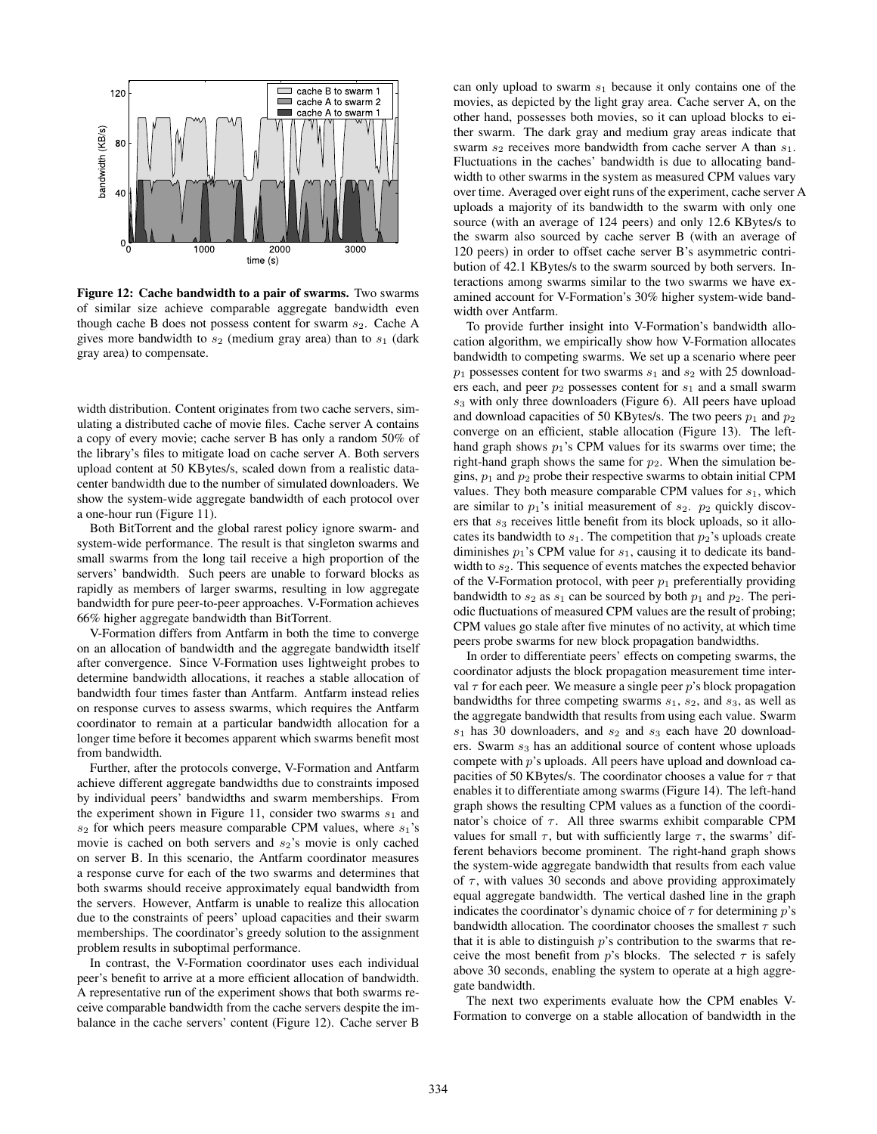

**Figure 12: Cache bandwidth to a pair of swarms.** Two swarms of similar size achieve comparable aggregate bandwidth even though cache B does not possess content for swarm  $s_2$ . Cache A gives more bandwidth to  $s_2$  (medium gray area) than to  $s_1$  (dark gray area) to compensate.

width distribution. Content originates from two cache servers, simulating a distributed cache of movie files. Cache server A contains a copy of every movie; cache server B has only a random 50% of the library's files to mitigate load on cache server A. Both servers upload content at 50 KBytes/s, scaled down from a realistic datacenter bandwidth due to the number of simulated downloaders. We show the system-wide aggregate bandwidth of each protocol over a one-hour run (Figure 11).

Both BitTorrent and the global rarest policy ignore swarm- and system-wide performance. The result is that singleton swarms and small swarms from the long tail receive a high proportion of the servers' bandwidth. Such peers are unable to forward blocks as rapidly as members of larger swarms, resulting in low aggregate bandwidth for pure peer-to-peer approaches. V-Formation achieves 66% higher aggregate bandwidth than BitTorrent.

V-Formation differs from Antfarm in both the time to converge on an allocation of bandwidth and the aggregate bandwidth itself after convergence. Since V-Formation uses lightweight probes to determine bandwidth allocations, it reaches a stable allocation of bandwidth four times faster than Antfarm. Antfarm instead relies on response curves to assess swarms, which requires the Antfarm coordinator to remain at a particular bandwidth allocation for a longer time before it becomes apparent which swarms benefit most from bandwidth.

Further, after the protocols converge, V-Formation and Antfarm achieve different aggregate bandwidths due to constraints imposed by individual peers' bandwidths and swarm memberships. From the experiment shown in Figure 11, consider two swarms  $s_1$  and  $s_2$  for which peers measure comparable CPM values, where  $s_1$ 's movie is cached on both servers and  $s_2$ 's movie is only cached on server B. In this scenario, the Antfarm coordinator measures a response curve for each of the two swarms and determines that both swarms should receive approximately equal bandwidth from the servers. However, Antfarm is unable to realize this allocation due to the constraints of peers' upload capacities and their swarm memberships. The coordinator's greedy solution to the assignment problem results in suboptimal performance.

In contrast, the V-Formation coordinator uses each individual peer's benefit to arrive at a more efficient allocation of bandwidth. A representative run of the experiment shows that both swarms receive comparable bandwidth from the cache servers despite the imbalance in the cache servers' content (Figure 12). Cache server B can only upload to swarm  $s_1$  because it only contains one of the movies, as depicted by the light gray area. Cache server A, on the other hand, possesses both movies, so it can upload blocks to either swarm. The dark gray and medium gray areas indicate that swarm  $s_2$  receives more bandwidth from cache server A than  $s_1$ . Fluctuations in the caches' bandwidth is due to allocating bandwidth to other swarms in the system as measured CPM values vary over time. Averaged over eight runs of the experiment, cache server A uploads a majority of its bandwidth to the swarm with only one source (with an average of 124 peers) and only 12.6 KBytes/s to the swarm also sourced by cache server B (with an average of 120 peers) in order to offset cache server B's asymmetric contribution of 42.1 KBytes/s to the swarm sourced by both servers. Interactions among swarms similar to the two swarms we have examined account for V-Formation's 30% higher system-wide bandwidth over Antfarm.

To provide further insight into V-Formation's bandwidth allocation algorithm, we empirically show how V-Formation allocates bandwidth to competing swarms. We set up a scenario where peer  $p_1$  possesses content for two swarms  $s_1$  and  $s_2$  with 25 downloaders each, and peer  $p_2$  possesses content for  $s_1$  and a small swarm s<sup>3</sup> with only three downloaders (Figure 6). All peers have upload and download capacities of 50 KBytes/s. The two peers  $p_1$  and  $p_2$ converge on an efficient, stable allocation (Figure 13). The lefthand graph shows  $p_1$ 's CPM values for its swarms over time; the right-hand graph shows the same for  $p_2$ . When the simulation begins,  $p_1$  and  $p_2$  probe their respective swarms to obtain initial CPM values. They both measure comparable CPM values for  $s_1$ , which are similar to  $p_1$ 's initial measurement of  $s_2$ .  $p_2$  quickly discovers that  $s_3$  receives little benefit from its block uploads, so it allocates its bandwidth to  $s_1$ . The competition that  $p_2$ 's uploads create diminishes  $p_1$ 's CPM value for  $s_1$ , causing it to dedicate its bandwidth to  $s_2$ . This sequence of events matches the expected behavior of the V-Formation protocol, with peer  $p_1$  preferentially providing bandwidth to  $s_2$  as  $s_1$  can be sourced by both  $p_1$  and  $p_2$ . The periodic fluctuations of measured CPM values are the result of probing; CPM values go stale after five minutes of no activity, at which time peers probe swarms for new block propagation bandwidths.

In order to differentiate peers' effects on competing swarms, the coordinator adjusts the block propagation measurement time interval  $\tau$  for each peer. We measure a single peer p's block propagation bandwidths for three competing swarms  $s_1$ ,  $s_2$ , and  $s_3$ , as well as the aggregate bandwidth that results from using each value. Swarm  $s_1$  has 30 downloaders, and  $s_2$  and  $s_3$  each have 20 downloaders. Swarm  $s_3$  has an additional source of content whose uploads compete with p's uploads. All peers have upload and download capacities of 50 KBytes/s. The coordinator chooses a value for  $\tau$  that enables it to differentiate among swarms (Figure 14). The left-hand graph shows the resulting CPM values as a function of the coordinator's choice of  $\tau$ . All three swarms exhibit comparable CPM values for small  $\tau$ , but with sufficiently large  $\tau$ , the swarms' different behaviors become prominent. The right-hand graph shows the system-wide aggregate bandwidth that results from each value of  $\tau$ , with values 30 seconds and above providing approximately equal aggregate bandwidth. The vertical dashed line in the graph indicates the coordinator's dynamic choice of  $\tau$  for determining p's bandwidth allocation. The coordinator chooses the smallest  $\tau$  such that it is able to distinguish  $p$ 's contribution to the swarms that receive the most benefit from p's blocks. The selected  $\tau$  is safely above 30 seconds, enabling the system to operate at a high aggregate bandwidth.

The next two experiments evaluate how the CPM enables V-Formation to converge on a stable allocation of bandwidth in the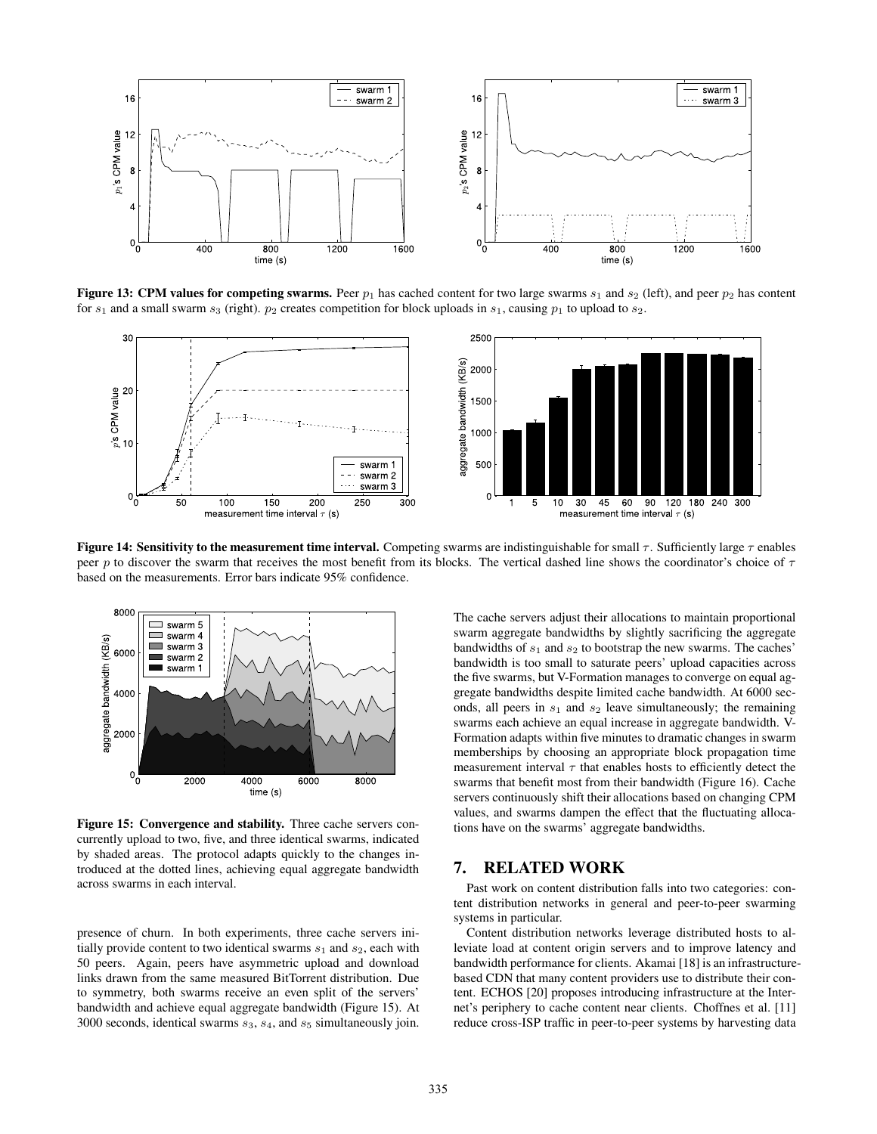

**Figure 13: CPM values for competing swarms.** Peer  $p_1$  has cached content for two large swarms  $s_1$  and  $s_2$  (left), and peer  $p_2$  has content for  $s_1$  and a small swarm  $s_3$  (right).  $p_2$  creates competition for block uploads in  $s_1$ , causing  $p_1$  to upload to  $s_2$ .



**Figure 14: Sensitivity to the measurement time interval.** Competing swarms are indistinguishable for small τ. Sufficiently large τ enables peer p to discover the swarm that receives the most benefit from its blocks. The vertical dashed line shows the coordinator's choice of  $\tau$ based on the measurements. Error bars indicate 95% confidence.



**Figure 15: Convergence and stability.** Three cache servers concurrently upload to two, five, and three identical swarms, indicated by shaded areas. The protocol adapts quickly to the changes introduced at the dotted lines, achieving equal aggregate bandwidth across swarms in each interval.

presence of churn. In both experiments, three cache servers initially provide content to two identical swarms  $s_1$  and  $s_2$ , each with 50 peers. Again, peers have asymmetric upload and download links drawn from the same measured BitTorrent distribution. Due to symmetry, both swarms receive an even split of the servers' bandwidth and achieve equal aggregate bandwidth (Figure 15). At 3000 seconds, identical swarms  $s_3$ ,  $s_4$ , and  $s_5$  simultaneously join. The cache servers adjust their allocations to maintain proportional swarm aggregate bandwidths by slightly sacrificing the aggregate bandwidths of  $s_1$  and  $s_2$  to bootstrap the new swarms. The caches' bandwidth is too small to saturate peers' upload capacities across the five swarms, but V-Formation manages to converge on equal aggregate bandwidths despite limited cache bandwidth. At 6000 seconds, all peers in  $s_1$  and  $s_2$  leave simultaneously; the remaining swarms each achieve an equal increase in aggregate bandwidth. V-Formation adapts within five minutes to dramatic changes in swarm memberships by choosing an appropriate block propagation time measurement interval  $\tau$  that enables hosts to efficiently detect the swarms that benefit most from their bandwidth (Figure 16). Cache servers continuously shift their allocations based on changing CPM values, and swarms dampen the effect that the fluctuating allocations have on the swarms' aggregate bandwidths.

### **7. RELATED WORK**

Past work on content distribution falls into two categories: content distribution networks in general and peer-to-peer swarming systems in particular.

Content distribution networks leverage distributed hosts to alleviate load at content origin servers and to improve latency and bandwidth performance for clients. Akamai [18] is an infrastructurebased CDN that many content providers use to distribute their content. ECHOS [20] proposes introducing infrastructure at the Internet's periphery to cache content near clients. Choffnes et al. [11] reduce cross-ISP traffic in peer-to-peer systems by harvesting data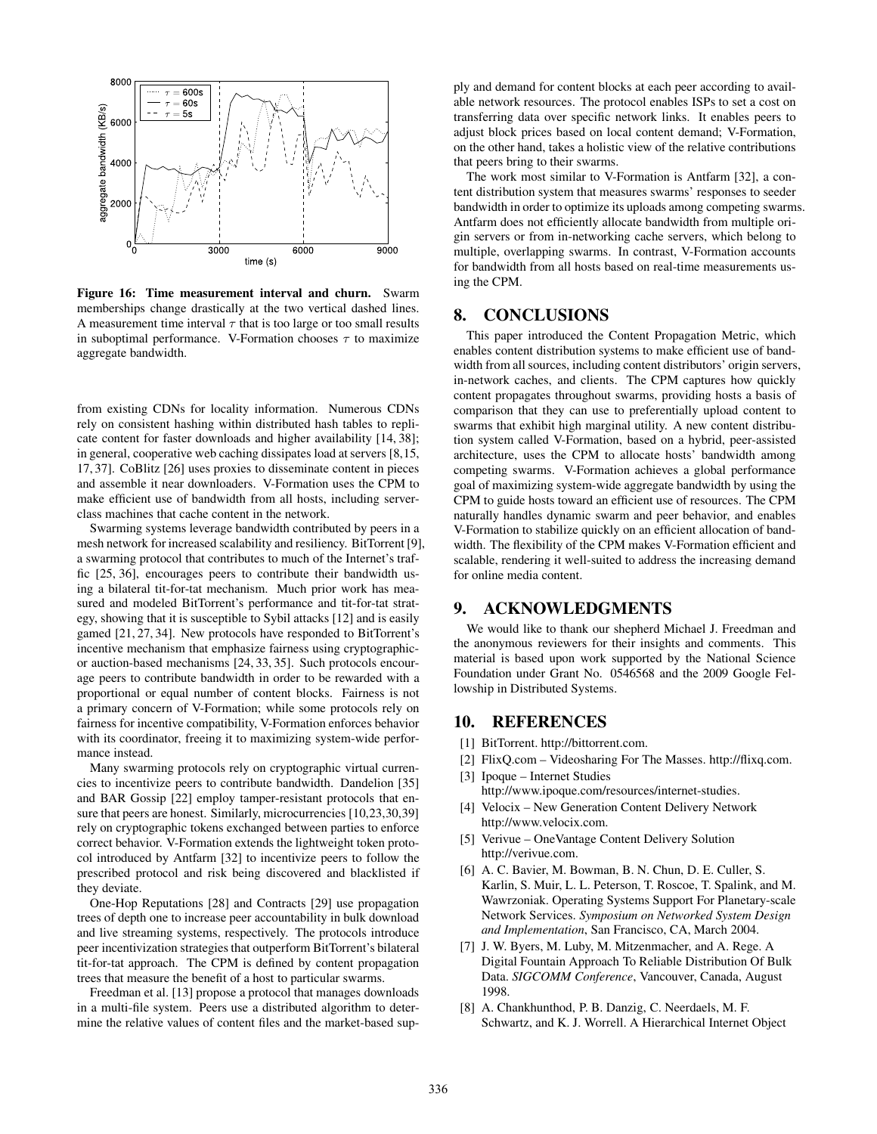

**Figure 16: Time measurement interval and churn.** Swarm memberships change drastically at the two vertical dashed lines. A measurement time interval  $\tau$  that is too large or too small results in suboptimal performance. V-Formation chooses  $\tau$  to maximize aggregate bandwidth.

from existing CDNs for locality information. Numerous CDNs rely on consistent hashing within distributed hash tables to replicate content for faster downloads and higher availability [14, 38]; in general, cooperative web caching dissipates load at servers [8,15, 17, 37]. CoBlitz [26] uses proxies to disseminate content in pieces and assemble it near downloaders. V-Formation uses the CPM to make efficient use of bandwidth from all hosts, including serverclass machines that cache content in the network.

Swarming systems leverage bandwidth contributed by peers in a mesh network for increased scalability and resiliency. BitTorrent [9], a swarming protocol that contributes to much of the Internet's traffic [25, 36], encourages peers to contribute their bandwidth using a bilateral tit-for-tat mechanism. Much prior work has measured and modeled BitTorrent's performance and tit-for-tat strategy, showing that it is susceptible to Sybil attacks [12] and is easily gamed [21, 27, 34]. New protocols have responded to BitTorrent's incentive mechanism that emphasize fairness using cryptographicor auction-based mechanisms [24, 33, 35]. Such protocols encourage peers to contribute bandwidth in order to be rewarded with a proportional or equal number of content blocks. Fairness is not a primary concern of V-Formation; while some protocols rely on fairness for incentive compatibility, V-Formation enforces behavior with its coordinator, freeing it to maximizing system-wide performance instead.

Many swarming protocols rely on cryptographic virtual currencies to incentivize peers to contribute bandwidth. Dandelion [35] and BAR Gossip [22] employ tamper-resistant protocols that ensure that peers are honest. Similarly, microcurrencies [10,23,30,39] rely on cryptographic tokens exchanged between parties to enforce correct behavior. V-Formation extends the lightweight token protocol introduced by Antfarm [32] to incentivize peers to follow the prescribed protocol and risk being discovered and blacklisted if they deviate.

One-Hop Reputations [28] and Contracts [29] use propagation trees of depth one to increase peer accountability in bulk download and live streaming systems, respectively. The protocols introduce peer incentivization strategies that outperform BitTorrent's bilateral tit-for-tat approach. The CPM is defined by content propagation trees that measure the benefit of a host to particular swarms.

Freedman et al. [13] propose a protocol that manages downloads in a multi-file system. Peers use a distributed algorithm to determine the relative values of content files and the market-based supply and demand for content blocks at each peer according to available network resources. The protocol enables ISPs to set a cost on transferring data over specific network links. It enables peers to adjust block prices based on local content demand; V-Formation, on the other hand, takes a holistic view of the relative contributions that peers bring to their swarms.

The work most similar to V-Formation is Antfarm [32], a content distribution system that measures swarms' responses to seeder bandwidth in order to optimize its uploads among competing swarms. Antfarm does not efficiently allocate bandwidth from multiple origin servers or from in-networking cache servers, which belong to multiple, overlapping swarms. In contrast, V-Formation accounts for bandwidth from all hosts based on real-time measurements using the CPM.

# **8. CONCLUSIONS**

This paper introduced the Content Propagation Metric, which enables content distribution systems to make efficient use of bandwidth from all sources, including content distributors' origin servers, in-network caches, and clients. The CPM captures how quickly content propagates throughout swarms, providing hosts a basis of comparison that they can use to preferentially upload content to swarms that exhibit high marginal utility. A new content distribution system called V-Formation, based on a hybrid, peer-assisted architecture, uses the CPM to allocate hosts' bandwidth among competing swarms. V-Formation achieves a global performance goal of maximizing system-wide aggregate bandwidth by using the CPM to guide hosts toward an efficient use of resources. The CPM naturally handles dynamic swarm and peer behavior, and enables V-Formation to stabilize quickly on an efficient allocation of bandwidth. The flexibility of the CPM makes V-Formation efficient and scalable, rendering it well-suited to address the increasing demand for online media content.

#### **9. ACKNOWLEDGMENTS**

We would like to thank our shepherd Michael J. Freedman and the anonymous reviewers for their insights and comments. This material is based upon work supported by the National Science Foundation under Grant No. 0546568 and the 2009 Google Fellowship in Distributed Systems.

#### **10. REFERENCES**

- [1] BitTorrent. http://bittorrent.com.
- [2] FlixQ.com Videosharing For The Masses. http://flixq.com.
- [3] Ipoque Internet Studies http://www.ipoque.com/resources/internet-studies.
- [4] Velocix New Generation Content Delivery Network http://www.velocix.com.
- [5] Verivue OneVantage Content Delivery Solution http://verivue.com.
- [6] A. C. Bavier, M. Bowman, B. N. Chun, D. E. Culler, S. Karlin, S. Muir, L. L. Peterson, T. Roscoe, T. Spalink, and M. Wawrzoniak. Operating Systems Support For Planetary-scale Network Services. *Symposium on Networked System Design and Implementation*, San Francisco, CA, March 2004.
- [7] J. W. Byers, M. Luby, M. Mitzenmacher, and A. Rege. A Digital Fountain Approach To Reliable Distribution Of Bulk Data. *SIGCOMM Conference*, Vancouver, Canada, August 1998.
- [8] A. Chankhunthod, P. B. Danzig, C. Neerdaels, M. F. Schwartz, and K. J. Worrell. A Hierarchical Internet Object